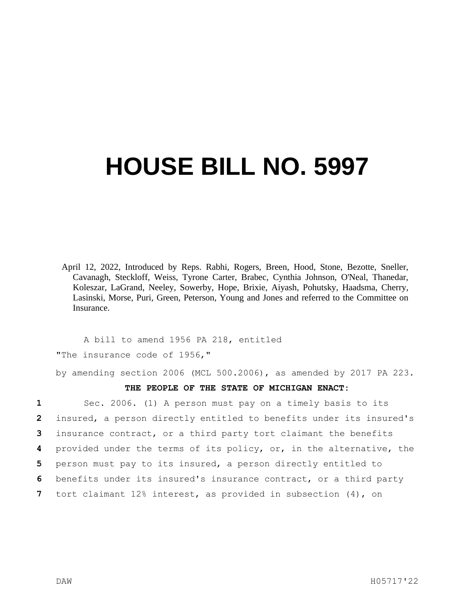## **HOUSE BILL NO. 5997**

April 12, 2022, Introduced by Reps. Rabhi, Rogers, Breen, Hood, Stone, Bezotte, Sneller, Cavanagh, Steckloff, Weiss, Tyrone Carter, Brabec, Cynthia Johnson, O'Neal, Thanedar, Koleszar, LaGrand, Neeley, Sowerby, Hope, Brixie, Aiyash, Pohutsky, Haadsma, Cherry, Lasinski, Morse, Puri, Green, Peterson, Young and Jones and referred to the Committee on **Insurance** 

A bill to amend 1956 PA 218, entitled "The insurance code of 1956,"

by amending section 2006 (MCL 500.2006), as amended by 2017 PA 223.

## **THE PEOPLE OF THE STATE OF MICHIGAN ENACT:**

 Sec. 2006. (1) A person must pay on a timely basis to its insured, a person directly entitled to benefits under its insured's insurance contract, or a third party tort claimant the benefits provided under the terms of its policy, or, in the alternative, the person must pay to its insured, a person directly entitled to benefits under its insured's insurance contract, or a third party tort claimant 12% interest, as provided in subsection (4), on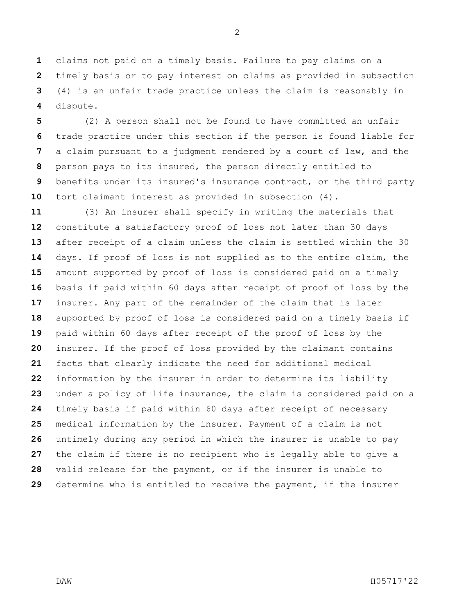claims not paid on a timely basis. Failure to pay claims on a timely basis or to pay interest on claims as provided in subsection (4) is an unfair trade practice unless the claim is reasonably in dispute.

 (2) A person shall not be found to have committed an unfair trade practice under this section if the person is found liable for a claim pursuant to a judgment rendered by a court of law, and the person pays to its insured, the person directly entitled to benefits under its insured's insurance contract, or the third party tort claimant interest as provided in subsection (4).

 (3) An insurer shall specify in writing the materials that constitute a satisfactory proof of loss not later than 30 days after receipt of a claim unless the claim is settled within the 30 days. If proof of loss is not supplied as to the entire claim, the amount supported by proof of loss is considered paid on a timely basis if paid within 60 days after receipt of proof of loss by the insurer. Any part of the remainder of the claim that is later supported by proof of loss is considered paid on a timely basis if paid within 60 days after receipt of the proof of loss by the insurer. If the proof of loss provided by the claimant contains facts that clearly indicate the need for additional medical information by the insurer in order to determine its liability under a policy of life insurance, the claim is considered paid on a timely basis if paid within 60 days after receipt of necessary medical information by the insurer. Payment of a claim is not untimely during any period in which the insurer is unable to pay the claim if there is no recipient who is legally able to give a valid release for the payment, or if the insurer is unable to determine who is entitled to receive the payment, if the insurer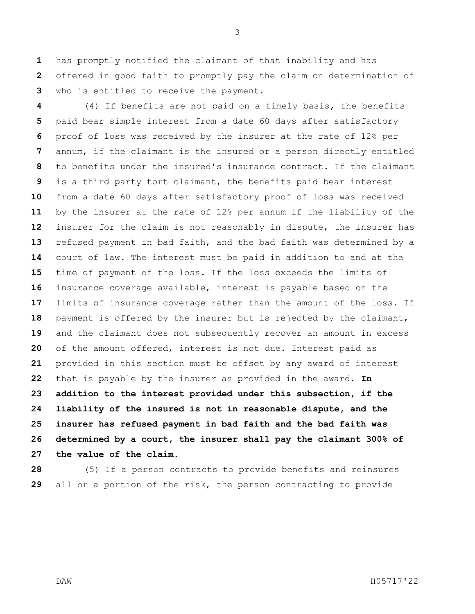has promptly notified the claimant of that inability and has offered in good faith to promptly pay the claim on determination of who is entitled to receive the payment.

 (4) If benefits are not paid on a timely basis, the benefits paid bear simple interest from a date 60 days after satisfactory proof of loss was received by the insurer at the rate of 12% per annum, if the claimant is the insured or a person directly entitled to benefits under the insured's insurance contract. If the claimant is a third party tort claimant, the benefits paid bear interest from a date 60 days after satisfactory proof of loss was received by the insurer at the rate of 12% per annum if the liability of the insurer for the claim is not reasonably in dispute, the insurer has refused payment in bad faith, and the bad faith was determined by a court of law. The interest must be paid in addition to and at the time of payment of the loss. If the loss exceeds the limits of insurance coverage available, interest is payable based on the limits of insurance coverage rather than the amount of the loss. If payment is offered by the insurer but is rejected by the claimant, and the claimant does not subsequently recover an amount in excess of the amount offered, interest is not due. Interest paid as provided in this section must be offset by any award of interest that is payable by the insurer as provided in the award. **In addition to the interest provided under this subsection, if the liability of the insured is not in reasonable dispute, and the insurer has refused payment in bad faith and the bad faith was determined by a court, the insurer shall pay the claimant 300% of the value of the claim.**

 (5) If a person contracts to provide benefits and reinsures all or a portion of the risk, the person contracting to provide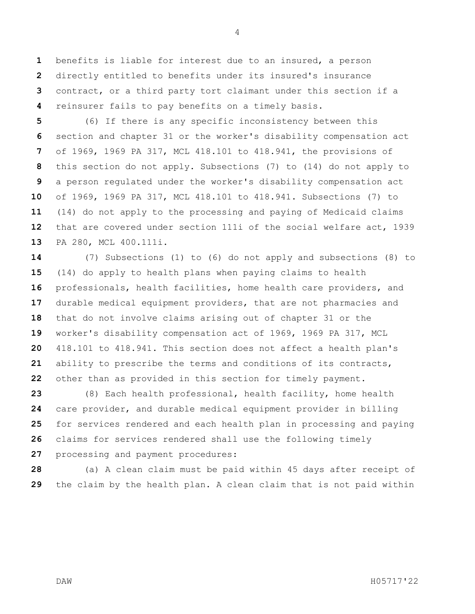benefits is liable for interest due to an insured, a person directly entitled to benefits under its insured's insurance contract, or a third party tort claimant under this section if a reinsurer fails to pay benefits on a timely basis.

 (6) If there is any specific inconsistency between this section and chapter 31 or the worker's disability compensation act of 1969, 1969 PA 317, MCL 418.101 to 418.941, the provisions of this section do not apply. Subsections (7) to (14) do not apply to a person regulated under the worker's disability compensation act of 1969, 1969 PA 317, MCL 418.101 to 418.941. Subsections (7) to (14) do not apply to the processing and paying of Medicaid claims that are covered under section 111i of the social welfare act, 1939 PA 280, MCL 400.111i.

 (7) Subsections (1) to (6) do not apply and subsections (8) to (14) do apply to health plans when paying claims to health professionals, health facilities, home health care providers, and durable medical equipment providers, that are not pharmacies and that do not involve claims arising out of chapter 31 or the worker's disability compensation act of 1969, 1969 PA 317, MCL 418.101 to 418.941. This section does not affect a health plan's ability to prescribe the terms and conditions of its contracts, other than as provided in this section for timely payment.

 (8) Each health professional, health facility, home health care provider, and durable medical equipment provider in billing for services rendered and each health plan in processing and paying claims for services rendered shall use the following timely processing and payment procedures:

 (a) A clean claim must be paid within 45 days after receipt of the claim by the health plan. A clean claim that is not paid within

DAW H05717'22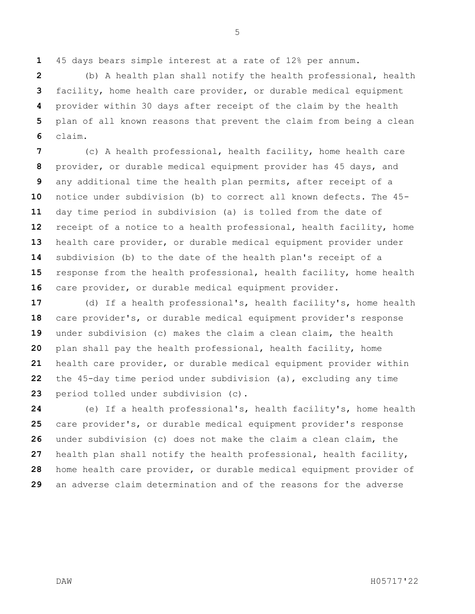45 days bears simple interest at a rate of 12% per annum.

 (b) A health plan shall notify the health professional, health facility, home health care provider, or durable medical equipment provider within 30 days after receipt of the claim by the health plan of all known reasons that prevent the claim from being a clean claim.

 (c) A health professional, health facility, home health care provider, or durable medical equipment provider has 45 days, and any additional time the health plan permits, after receipt of a notice under subdivision (b) to correct all known defects. The 45- day time period in subdivision (a) is tolled from the date of receipt of a notice to a health professional, health facility, home health care provider, or durable medical equipment provider under subdivision (b) to the date of the health plan's receipt of a response from the health professional, health facility, home health care provider, or durable medical equipment provider.

 (d) If a health professional's, health facility's, home health care provider's, or durable medical equipment provider's response under subdivision (c) makes the claim a clean claim, the health plan shall pay the health professional, health facility, home health care provider, or durable medical equipment provider within the 45-day time period under subdivision (a), excluding any time period tolled under subdivision (c).

 (e) If a health professional's, health facility's, home health care provider's, or durable medical equipment provider's response under subdivision (c) does not make the claim a clean claim, the health plan shall notify the health professional, health facility, home health care provider, or durable medical equipment provider of an adverse claim determination and of the reasons for the adverse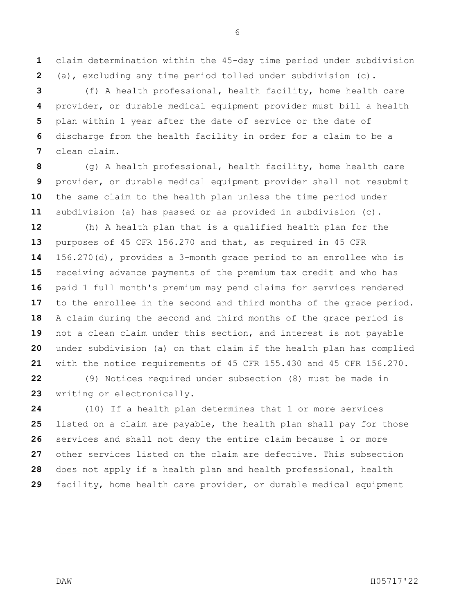claim determination within the 45-day time period under subdivision (a), excluding any time period tolled under subdivision (c).

 (f) A health professional, health facility, home health care provider, or durable medical equipment provider must bill a health plan within 1 year after the date of service or the date of discharge from the health facility in order for a claim to be a clean claim.

 (g) A health professional, health facility, home health care provider, or durable medical equipment provider shall not resubmit the same claim to the health plan unless the time period under subdivision (a) has passed or as provided in subdivision (c).

 (h) A health plan that is a qualified health plan for the purposes of 45 CFR 156.270 and that, as required in 45 CFR 156.270(d), provides a 3-month grace period to an enrollee who is receiving advance payments of the premium tax credit and who has paid 1 full month's premium may pend claims for services rendered to the enrollee in the second and third months of the grace period. A claim during the second and third months of the grace period is not a clean claim under this section, and interest is not payable under subdivision (a) on that claim if the health plan has complied with the notice requirements of 45 CFR 155.430 and 45 CFR 156.270.

 (9) Notices required under subsection (8) must be made in writing or electronically.

 (10) If a health plan determines that 1 or more services listed on a claim are payable, the health plan shall pay for those services and shall not deny the entire claim because 1 or more other services listed on the claim are defective. This subsection does not apply if a health plan and health professional, health facility, home health care provider, or durable medical equipment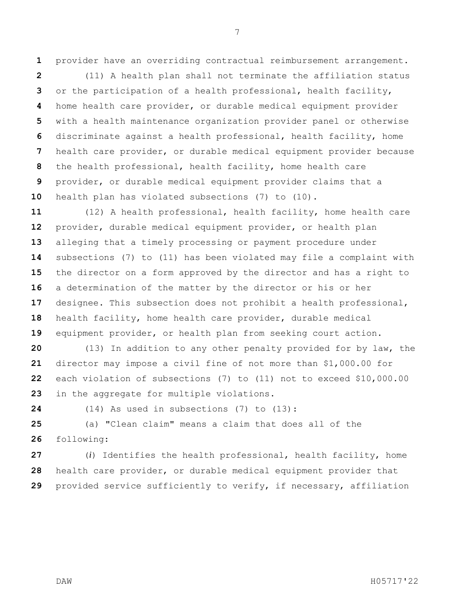provider have an overriding contractual reimbursement arrangement.

 (11) A health plan shall not terminate the affiliation status or the participation of a health professional, health facility, home health care provider, or durable medical equipment provider with a health maintenance organization provider panel or otherwise discriminate against a health professional, health facility, home health care provider, or durable medical equipment provider because the health professional, health facility, home health care provider, or durable medical equipment provider claims that a health plan has violated subsections (7) to (10).

 (12) A health professional, health facility, home health care provider, durable medical equipment provider, or health plan alleging that a timely processing or payment procedure under subsections (7) to (11) has been violated may file a complaint with the director on a form approved by the director and has a right to a determination of the matter by the director or his or her designee. This subsection does not prohibit a health professional, health facility, home health care provider, durable medical equipment provider, or health plan from seeking court action.

 (13) In addition to any other penalty provided for by law, the director may impose a civil fine of not more than \$1,000.00 for each violation of subsections (7) to (11) not to exceed \$10,000.00 in the aggregate for multiple violations.

(14) As used in subsections (7) to (13):

 (a) "Clean claim" means a claim that does all of the following:

 (*i*) Identifies the health professional, health facility, home health care provider, or durable medical equipment provider that provided service sufficiently to verify, if necessary, affiliation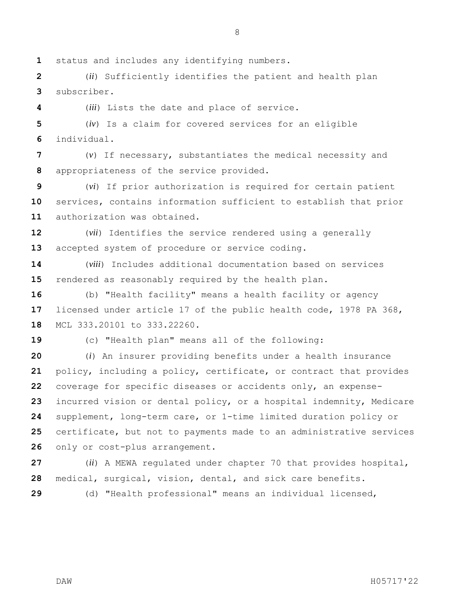status and includes any identifying numbers.

 (*ii*) Sufficiently identifies the patient and health plan subscriber.

(*iii*) Lists the date and place of service.

 (*iv*) Is a claim for covered services for an eligible individual.

 (*v*) If necessary, substantiates the medical necessity and appropriateness of the service provided.

 (*vi*) If prior authorization is required for certain patient services, contains information sufficient to establish that prior authorization was obtained.

 (*vii*) Identifies the service rendered using a generally accepted system of procedure or service coding.

 (*viii*) Includes additional documentation based on services rendered as reasonably required by the health plan.

 (b) "Health facility" means a health facility or agency licensed under article 17 of the public health code, 1978 PA 368, MCL 333.20101 to 333.22260.

(c) "Health plan" means all of the following:

 (*i*) An insurer providing benefits under a health insurance policy, including a policy, certificate, or contract that provides coverage for specific diseases or accidents only, an expense- incurred vision or dental policy, or a hospital indemnity, Medicare supplement, long-term care, or 1-time limited duration policy or certificate, but not to payments made to an administrative services only or cost-plus arrangement.

 (*ii*) A MEWA regulated under chapter 70 that provides hospital, medical, surgical, vision, dental, and sick care benefits.

(d) "Health professional" means an individual licensed,